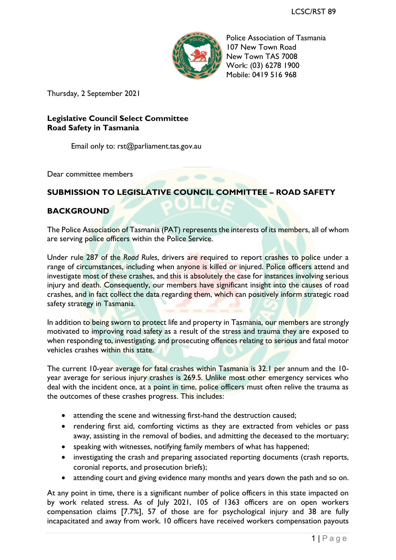

Police Association of Tasmania 107 New Town Road New Town TAS 7008 Work: (03) 6278 1900 Mobile: 0419 516 968

Thursday, 2 September 2021

## **Legislative Council Select Committee Road Safety in Tasmania**

Email only to: rst@parliament.tas.gov.au

Dear committee members

## **SUBMISSION TO LEGISLATIVE COUNCIL COMMITTEE – ROAD SAFETY**

## **BACKGROUND**

The Police Association of Tasmania (PAT) represents the interests of its members, all of whom are serving police officers within the Police Service.

Under rule 287 of the *Road Rules*, drivers are required to report crashes to police under a range of circumstances, including when anyone is killed or injured. Police officers attend and investigate most of these crashes, and this is absolutely the case for instances involving serious injury and death. Consequently, our members have significant insight into the causes of road crashes, and in fact collect the data regarding them, which can positively inform strategic road safety strategy in Tasmania.

In addition to being sworn to protect life and property in Tasmania, our members are strongly motivated to improving road safety as a result of the stress and trauma they are exposed to when responding to, investigating, and prosecuting offences relating to serious and fatal motor vehicles crashes within this state.

The current 10-year average for fatal crashes within Tasmania is 32.1 per annum and the 10year average for serious injury crashes is 269.5. Unlike most other emergency services who deal with the incident once, at a point in time, police officers must often relive the trauma as the outcomes of these crashes progress. This includes:

- attending the scene and witnessing first-hand the destruction caused;
- rendering first aid, comforting victims as they are extracted from vehicles or pass away, assisting in the removal of bodies, and admitting the deceased to the mortuary;
- speaking with witnesses, notifying family members of what has happened;
- investigating the crash and preparing associated reporting documents (crash reports, coronial reports, and prosecution briefs);
- attending court and giving evidence many months and years down the path and so on.

At any point in time, there is a significant number of police officers in this state impacted on by work related stress. As of July 2021, 105 of 1363 officers are on open workers compensation claims [7.7%], 57 of those are for psychological injury and 38 are fully incapacitated and away from work. 10 officers have received workers compensation payouts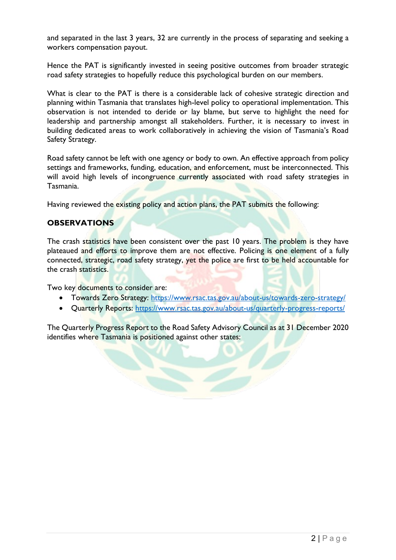and separated in the last 3 years, 32 are currently in the process of separating and seeking a workers compensation payout.

Hence the PAT is significantly invested in seeing positive outcomes from broader strategic road safety strategies to hopefully reduce this psychological burden on our members.

What is clear to the PAT is there is a considerable lack of cohesive strategic direction and planning within Tasmania that translates high-level policy to operational implementation. This observation is not intended to deride or lay blame, but serve to highlight the need for leadership and partnership amongst all stakeholders. Further, it is necessary to invest in building dedicated areas to work collaboratively in achieving the vision of Tasmania's Road Safety Strategy.

Road safety cannot be left with one agency or body to own. An effective approach from policy settings and frameworks, funding, education, and enforcement, must be interconnected. This will avoid high levels of incongruence currently associated with road safety strategies in Tasmania.

Having reviewed the existing policy and action plans, the PAT submits the following:

#### **OBSERVATIONS**

The crash statistics have been consistent over the past 10 years. The problem is they have plateaued and efforts to improve them are not effective. Policing is one element of a fully connected, strategic, road safety strategy, yet the police are first to be held accountable for the crash statistics.

Two key documents to consider are:

- Towards Zero Strategy:<https://www.rsac.tas.gov.au/about-us/towards-zero-strategy/>
- Quarterly Reports:<https://www.rsac.tas.gov.au/about-us/quarterly-progress-reports/>

The Quarterly Progress Report to the Road Safety Advisory Council as at 31 December 2020 identifies where Tasmania is positioned against other states: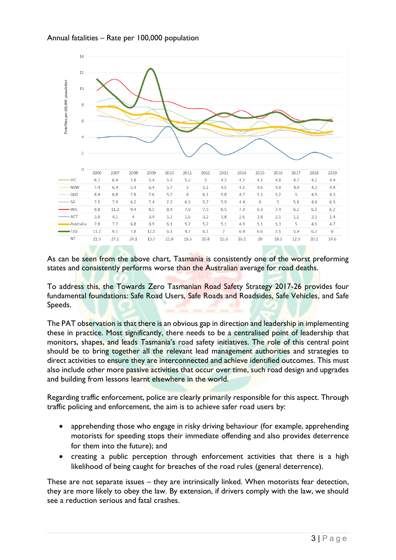



As can be seen from the above chart, Tasmania is consistently one of the worst preforming states and consistently performs worse than the Australian average for road deaths.

To address this, the Towards Zero Tasmanian Road Safety Strategy 2017-26 provides four fundamental foundations: Safe Road Users, Safe Roads and Roadsides, Safe Vehicles, and Safe Speeds.

The PAT observation is that there is an obvious gap in direction and leadership in implementing these in practice. Most significantly, there needs to be a centralised point of leadership that monitors, shapes, and leads Tasmania's road safety initiatives. The role of this central point should be to bring together all the relevant lead management authorities and strategies to direct activities to ensure they are interconnected and achieve identified outcomes. This must also include other more passive activities that occur over time, such road design and upgrades and building from lessons learnt elsewhere in the world.

Regarding traffic enforcement, police are clearly primarily responsible for this aspect. Through traffic policing and enforcement, the aim is to achieve safer road users by:

- apprehending those who engage in risky driving behaviour (for example, apprehending motorists for speeding stops their immediate offending and also provides deterrence for them into the future); and
- creating a public perception through enforcement activities that there is a high likelihood of being caught for breaches of the road rules (general deterrence).

These are not separate issues – they are intrinsically linked. When motorists fear detection, they are more likely to obey the law. By extension, if drivers comply with the law, we should see a reduction serious and fatal crashes.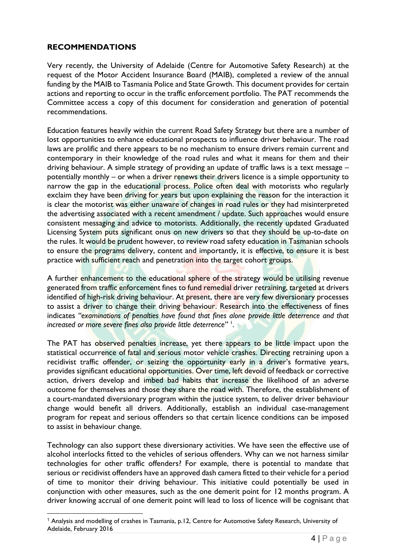## **RECOMMENDATIONS**

Very recently, the University of Adelaide (Centre for Automotive Safety Research) at the request of the Motor Accident Insurance Board (MAIB), completed a review of the annual funding by the MAIB to Tasmania Police and State Growth. This document provides for certain actions and reporting to occur in the traffic enforcement portfolio. The PAT recommends the Committee access a copy of this document for consideration and generation of potential recommendations.

Education features heavily within the current Road Safety Strategy but there are a number of lost opportunities to enhance educational prospects to influence driver behaviour. The road laws are prolific and there appears to be no mechanism to ensure drivers remain current and contemporary in their knowledge of the road rules and what it means for them and their driving behaviour. A simple strategy of providing an update of traffic laws is a text message – potentially monthly – or when a driver renews their drivers licence is a simple opportunity to narrow the gap in the educational process. Police often deal with motorists who regularly exclaim they have been driving for years but upon explaining the reason for the interaction it is clear the motorist was either unaware of changes in road rules or they had misinterpreted the advertising associated with a recent amendment / update. Such approaches would ensure consistent messaging and advice to motorists. Additionally, the recently updated Graduated Licensing System puts significant onus on new drivers so that they should be up-to-date on the rules. It would be prudent however, to review road safety education in Tasmanian schools to ensure the programs delivery, content and importantly, it is effective, to ensure it is best practice with sufficient reach and penetration into the target cohort groups.

A further enhancement to the educational sphere of the strategy would be utilising revenue generated from traffic enforcement fines to fund remedial driver retraining, targeted at drivers identified of high-risk driving behaviour. At present, there are very few diversionary processes to assist a driver to change their driving behaviour. Research into the effectiveness of fines indicates *"examinations of penalties have found that fines alone provide little deterrence and that increased or more severe fines also provide little deterrence"* <sup>1</sup> .

The PAT has observed penalties increase, yet there appears to be little impact upon the statistical occurrence of fatal and serious motor vehicle crashes. Directing retraining upon a recidivist traffic offender, or seizing the opportunity early in a driver's formative years, provides significant educational opportunities. Over time, left devoid of feedback or corrective action, drivers develop and imbed bad habits that increase the likelihood of an adverse outcome for themselves and those they share the road with. Therefore, the establishment of a court-mandated diversionary program within the justice system, to deliver driver behaviour change would benefit all drivers. Additionally, establish an individual case-management program for repeat and serious offenders so that certain licence conditions can be imposed to assist in behaviour change.

Technology can also support these diversionary activities. We have seen the effective use of alcohol interlocks fitted to the vehicles of serious offenders. Why can we not harness similar technologies for other traffic offenders? For example, there is potential to mandate that serious or recidivist offenders have an approved dash camera fitted to their vehicle for a period of time to monitor their driving behaviour. This initiative could potentially be used in conjunction with other measures, such as the one demerit point for 12 months program. A driver knowing accrual of one demerit point will lead to loss of licence will be cognisant that

<sup>1</sup> Analysis and modelling of crashes in Tasmania, p.12, Centre for Automotive Safety Research, University of Adelaide, February 2016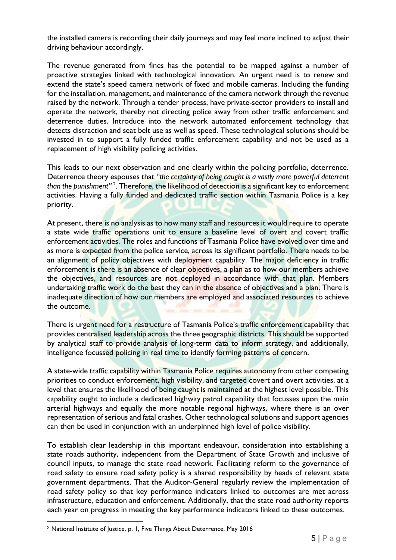the installed camera is recording their daily journeys and may feel more inclined to adjust their driving behaviour accordingly.

The revenue generated from fines has the potential to be mapped against a number of proactive strategies linked with technological innovation. An urgent need is to renew and extend the state's speed camera network of fixed and mobile cameras. Including the funding for the installation, management, and maintenance of the camera network through the revenue raised by the network. Through a tender process, have private-sector providers to install and operate the network, thereby not directing police away from other traffic enforcement and deterrence duties. Introduce into the network automated enforcement technology that detects distraction and seat belt use as well as speed. These technological solutions should be invested in to support a fully funded traffic enforcement capability and not be used as a replacement of high visibility policing activities.

This leads to our next observation and one clearly within the policing portfolio, deterrence. Deterrence theory espouses that *"the certainty of being caught is a vastly more powerful deterrent than the punishment"* <sup>2</sup> . Therefore, the likelihood of detection is a significant key to enforcement activities. Having a fully funded and dedicated traffic section within Tasmania Police is a key priority.

At present, there is no analysis as to how many staff and resources it would require to operate a state wide traffic operations unit to ensure a baseline level of overt and covert traffic enforcement activities. The roles and functions of Tasmania Police have evolved over time and as more is expected from the police service, across its significant portfolio. There needs to be an alignment of policy objectives with deployment capability. The major deficiency in traffic enforcement is there is an absence of clear objectives, a plan as to how our members achieve the objectives, and resources are not deployed in accordance with that plan. Members undertaking traffic work do the best they can in the absence of objectives and a plan. There is inadequate direction of how our members are employed and associated resources to achieve the outcome.

There is urgent need for a restructure of Tasmania Police's traffic enforcement capability that provides centralised leadership across the three geographic districts. This should be supported by analytical staff to provide analysis of long-term data to inform strategy, and additionally, intelligence focussed policing in real time to identify forming patterns of concern.

A state-wide traffic capability within Tasmania Police requires autonomy from other competing priorities to conduct enforcement, high visibility, and targeted covert and overt activities, at a level that ensures the likelihood of being caught is maintained at the highest level possible. This capability ought to include a dedicated highway patrol capability that focusses upon the main arterial highways and equally the more notable regional highways, where there is an over representation of serious and fatal crashes. Other technological solutions and support agencies can then be used in conjunction with an underpinned high level of police visibility.

To establish clear leadership in this important endeavour, consideration into establishing a state roads authority, independent from the Department of State Growth and inclusive of council inputs, to manage the state road network. Facilitating reform to the governance of road safety to ensure road safety policy is a shared responsibility by heads of relevant state government departments. That the Auditor-General regularly review the implementation of road safety policy so that key performance indicators linked to outcomes are met across infrastructure, education and enforcement. Additionally, that the state road authority reports each year on progress in meeting the key performance indicators linked to these outcomes.

<sup>2</sup> National Institute of Justice, p. 1, Five Things About Deterrence, May 2016